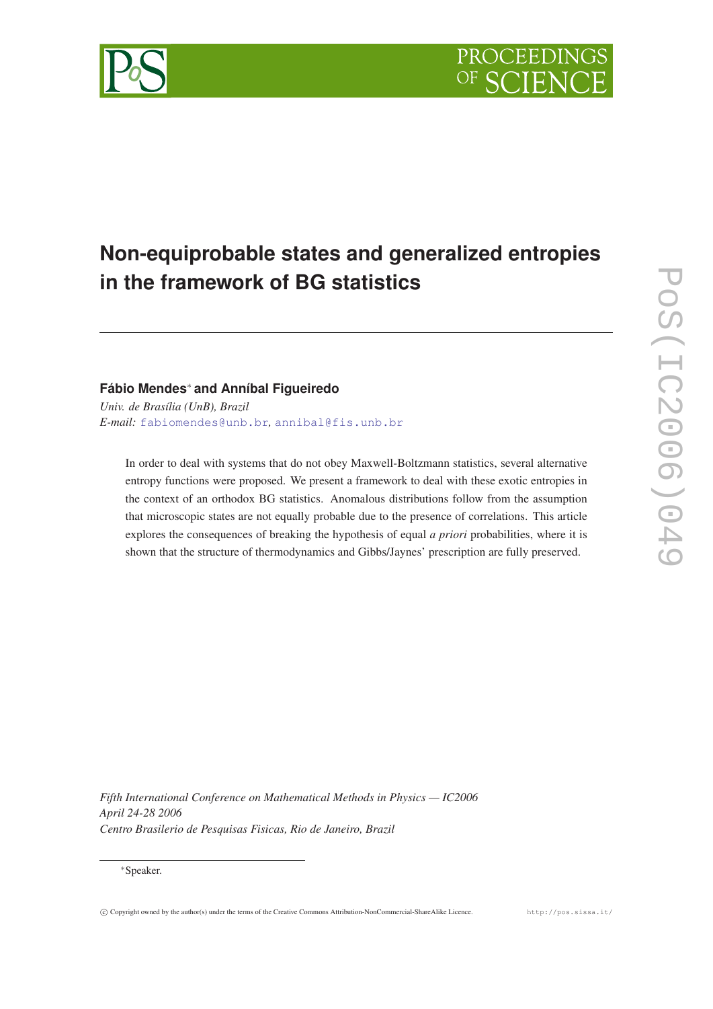# **Non-equiprobable states and generalized entropies in the framework of BG statistics**

## **Fábio Mendes**<sup>∗</sup> **and Anníbal Figueiredo**

*Univ. de Brasília (UnB), Brazil E-mail:* [fabiomendes@unb.br](mailto:fabiomendes@unb.br)*,* [annibal@fis.unb.br](mailto:annibal@fis.unb.br)

In order to deal with systems that do not obey Maxwell-Boltzmann statistics, several alternative entropy functions were proposed. We present a framework to deal with these exotic entropies in the context of an orthodox BG statistics. Anomalous distributions follow from the assumption that microscopic states are not equally probable due to the presence of correlations. This article explores the consequences of breaking the hypothesis of equal *a priori* probabilities, where it is shown that the structure of thermodynamics and Gibbs/Jaynes' prescription are fully preserved.

*Fifth International Conference on Mathematical Methods in Physics — IC2006 April 24-28 2006 Centro Brasilerio de Pesquisas Fisicas, Rio de Janeiro, Brazil*

## <sup>∗</sup>Speaker.

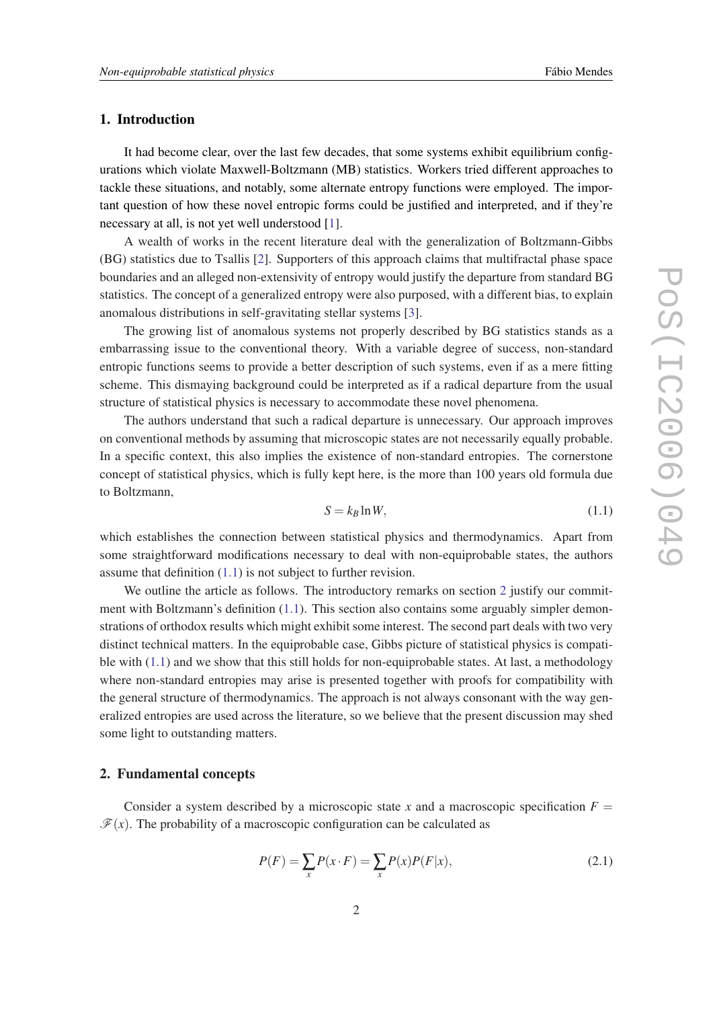## <span id="page-1-0"></span>1. Introduction

It had become clear, over the last few decades, that some systems exhibit equilibrium configurations which violate Maxwell-Boltzmann (MB) statistics. Workers tried different approaches to tackle these situations, and notably, some alternate entropy functions were employed. The important question of how these novel entropic forms could be justified and interpreted, and if they're necessary at all, is not yet well understood [[1\]](#page-9-0).

A wealth of works in the recent literature deal with the generalization of Boltzmann-Gibbs (BG) statistics due to Tsallis [\[2\]](#page-9-0). Supporters of this approach claims that multifractal phase space boundaries and an alleged non-extensivity of entropy would justify the departure from standard BG statistics. The concept of a generalized entropy were also purposed, with a different bias, to explain anomalous distributions in self-gravitating stellar systems [\[3\]](#page-9-0).

The growing list of anomalous systems not properly described by BG statistics stands as a embarrassing issue to the conventional theory. With a variable degree of success, non-standard entropic functions seems to provide a better description of such systems, even if as a mere fitting scheme. This dismaying background could be interpreted as if a radical departure from the usual structure of statistical physics is necessary to accommodate these novel phenomena.

The authors understand that such a radical departure is unnecessary. Our approach improves on conventional methods by assuming that microscopic states are not necessarily equally probable. In a specific context, this also implies the existence of non-standard entropies. The cornerstone concept of statistical physics, which is fully kept here, is the more than 100 years old formula due to Boltzmann,

$$
S = k_B \ln W,\tag{1.1}
$$

which establishes the connection between statistical physics and thermodynamics. Apart from some straightforward modifications necessary to deal with non-equiprobable states, the authors assume that definition (1.1) is not subject to further revision.

We outline the article as follows. The introductory remarks on section 2 justify our commitment with Boltzmann's definition  $(1.1)$ . This section also contains some arguably simpler demonstrations of orthodox results which might exhibit some interest. The second part deals with two very distinct technical matters. In the equiprobable case, Gibbs picture of statistical physics is compatible with (1.1) and we show that this still holds for non-equiprobable states. At last, a methodology where non-standard entropies may arise is presented together with proofs for compatibility with the general structure of thermodynamics. The approach is not always consonant with the way generalized entropies are used across the literature, so we believe that the present discussion may shed some light to outstanding matters.

#### 2. Fundamental concepts

Consider a system described by a microscopic state *x* and a macroscopic specification  $F =$  $\mathscr{F}(x)$ . The probability of a macroscopic configuration can be calculated as

$$
P(F) = \sum_{x} P(x \cdot F) = \sum_{x} P(x)P(F|x), \qquad (2.1)
$$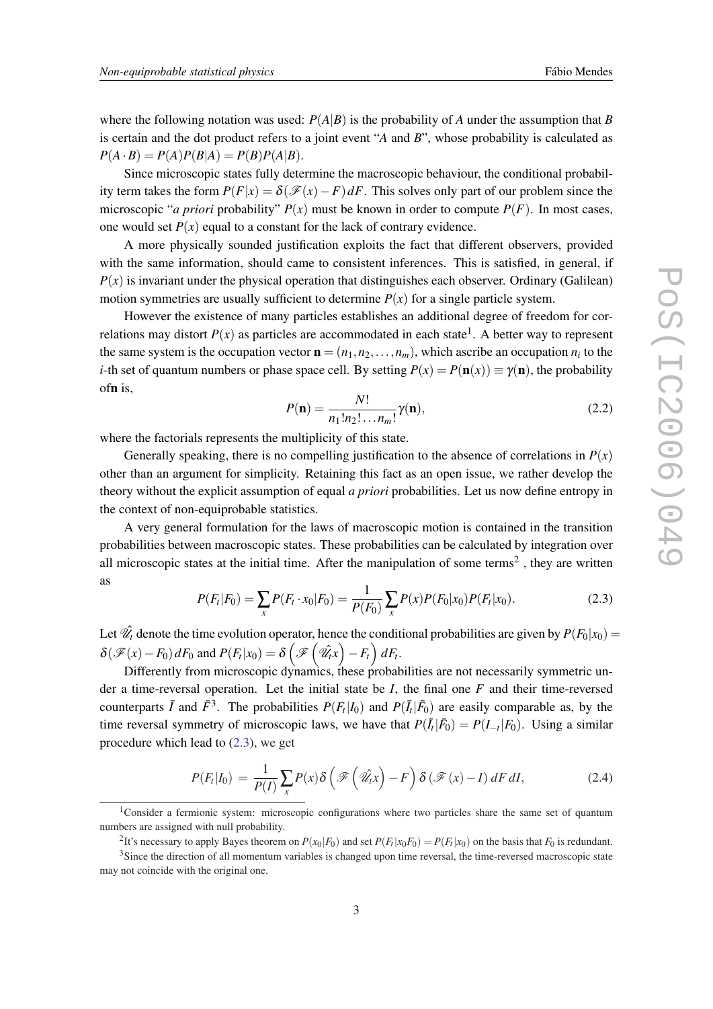<span id="page-2-0"></span>where the following notation was used:  $P(A|B)$  is the probability of *A* under the assumption that *B* is certain and the dot product refers to a joint event "*A* and *B*", whose probability is calculated as  $P(A \cdot B) = P(A)P(B|A) = P(B)P(A|B).$ 

Since microscopic states fully determine the macroscopic behaviour, the conditional probability term takes the form  $P(F|x) = \delta(\mathcal{F}(x) - F) dF$ . This solves only part of our problem since the microscopic "*a priori* probability"  $P(x)$  must be known in order to compute  $P(F)$ . In most cases, one would set  $P(x)$  equal to a constant for the lack of contrary evidence.

A more physically sounded justification exploits the fact that different observers, provided with the same information, should came to consistent inferences. This is satisfied, in general, if  $P(x)$  is invariant under the physical operation that distinguishes each observer. Ordinary (Galilean) motion symmetries are usually sufficient to determine  $P(x)$  for a single particle system.

However the existence of many particles establishes an additional degree of freedom for correlations may distort  $P(x)$  as particles are accommodated in each state<sup>1</sup>. A better way to represent the same system is the occupation vector  $\mathbf{n} = (n_1, n_2, \dots, n_m)$ , which ascribe an occupation  $n_i$  to the *i*-th set of quantum numbers or phase space cell. By setting  $P(x) = P(\mathbf{n}(x)) \equiv \gamma(\mathbf{n})$ , the probability ofn is,

$$
P(\mathbf{n}) = \frac{N!}{n_1! n_2! \dots n_m!} \gamma(\mathbf{n}),\tag{2.2}
$$

where the factorials represents the multiplicity of this state.

Generally speaking, there is no compelling justification to the absence of correlations in  $P(x)$ other than an argument for simplicity. Retaining this fact as an open issue, we rather develop the theory without the explicit assumption of equal *a priori* probabilities. Let us now define entropy in the context of non-equiprobable statistics.

A very general formulation for the laws of macroscopic motion is contained in the transition probabilities between macroscopic states. These probabilities can be calculated by integration over all microscopic states at the initial time. After the manipulation of some terms<sup>2</sup>, they are written as

$$
P(F_t|F_0) = \sum_{x} P(F_t \cdot x_0|F_0) = \frac{1}{P(F_0)} \sum_{x} P(x) P(F_0|x_0) P(F_t|x_0).
$$
 (2.3)

Let  $\hat{\mathcal{U}}_t$  denote the time evolution operator, hence the conditional probabilities are given by  $P(F_0|x_0)$  =  $\delta(\mathscr{F}(x) - F_0) dF_0$  and  $P(F_t|x_0) = \delta\left(\mathscr{F}\left(\hat{\mathscr{U}}_t x\right) - F_t\right) dF_t$ .

Differently from microscopic dynamics, these probabilities are not necessarily symmetric under a time-reversal operation. Let the initial state be *I*, the final one *F* and their time-reversed counterparts  $\bar{I}$  and  $\bar{F}^3$ . The probabilities  $P(F_t|I_0)$  and  $P(\bar{I}_t|\bar{F}_0)$  are easily comparable as, by the time reversal symmetry of microscopic laws, we have that  $P(\bar{I}_t|\bar{F}_0) = P(I_{-t}|F_0)$ . Using a similar procedure which lead to (2.3), we get

$$
P(F_t|I_0) = \frac{1}{P(I)} \sum_{x} P(x) \delta\left(\mathcal{F}\left(\hat{\mathcal{U}}_t x\right) - F\right) \delta\left(\mathcal{F}(x) - I\right) dF dI, \tag{2.4}
$$

<sup>&</sup>lt;sup>1</sup>Consider a fermionic system: microscopic configurations where two particles share the same set of quantum numbers are assigned with null probability.

<sup>&</sup>lt;sup>2</sup>It's necessary to apply Bayes theorem on  $P(x_0|F_0)$  and set  $P(F_t|x_0F_0) = P(F_t|x_0)$  on the basis that  $F_0$  is redundant.

<sup>&</sup>lt;sup>3</sup>Since the direction of all momentum variables is changed upon time reversal, the time-reversed macroscopic state may not coincide with the original one.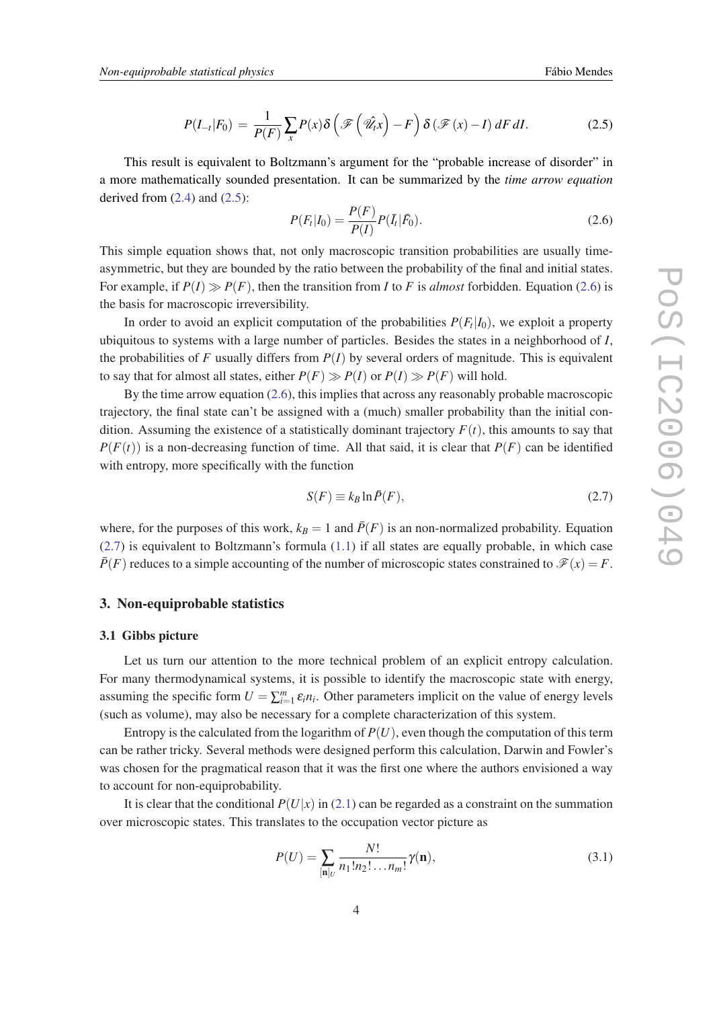$$
P(I_{-t}|F_0) = \frac{1}{P(F)} \sum_{x} P(x) \delta\left(\mathcal{F}\left(\hat{\mathcal{U}}_t x\right) - F\right) \delta\left(\mathcal{F}(x) - I\right) dF dI. \tag{2.5}
$$

<span id="page-3-0"></span>This result is equivalent to Boltzmann's argument for the "probable increase of disorder" in a more mathematically sounded presentation. It can be summarized by the *time arrow equation* derived from  $(2.4)$  $(2.4)$  and  $(2.5)$ :

$$
P(F_t|I_0) = \frac{P(F)}{P(I)} P(\bar{I}_t|\bar{F}_0).
$$
\n(2.6)

This simple equation shows that, not only macroscopic transition probabilities are usually timeasymmetric, but they are bounded by the ratio between the probability of the final and initial states. For example, if  $P(I) \gg P(F)$ , then the transition from *I* to *F* is *almost* forbidden. Equation (2.6) is the basis for macroscopic irreversibility.

In order to avoid an explicit computation of the probabilities  $P(F_t|I_0)$ , we exploit a property ubiquitous to systems with a large number of particles. Besides the states in a neighborhood of *I*, the probabilities of  $F$  usually differs from  $P(I)$  by several orders of magnitude. This is equivalent to say that for almost all states, either  $P(F) \gg P(I)$  or  $P(I) \gg P(F)$  will hold.

By the time arrow equation (2.6), this implies that across any reasonably probable macroscopic trajectory, the final state can't be assigned with a (much) smaller probability than the initial condition. Assuming the existence of a statistically dominant trajectory  $F(t)$ , this amounts to say that  $P(F(t))$  is a non-decreasing function of time. All that said, it is clear that  $P(F)$  can be identified with entropy, more specifically with the function

$$
S(F) \equiv k_B \ln \bar{P}(F),\tag{2.7}
$$

where, for the purposes of this work,  $k_B = 1$  and  $\bar{P}(F)$  is an non-normalized probability. Equation (2.7) is equivalent to Boltzmann's formula ([1.1\)](#page-1-0) if all states are equally probable, in which case  $\overline{P}(F)$  reduces to a simple accounting of the number of microscopic states constrained to  $\mathcal{F}(x) = F$ .

#### 3. Non-equiprobable statistics

#### 3.1 Gibbs picture

Let us turn our attention to the more technical problem of an explicit entropy calculation. For many thermodynamical systems, it is possible to identify the macroscopic state with energy, assuming the specific form  $U = \sum_{i=1}^{m} \varepsilon_i n_i$ . Other parameters implicit on the value of energy levels (such as volume), may also be necessary for a complete characterization of this system.

Entropy is the calculated from the logarithm of  $P(U)$ , even though the computation of this term can be rather tricky. Several methods were designed perform this calculation, Darwin and Fowler's was chosen for the pragmatical reason that it was the first one where the authors envisioned a way to account for non-equiprobability.

It is clear that the conditional  $P(U|x)$  in [\(2.1\)](#page-1-0) can be regarded as a constraint on the summation over microscopic states. This translates to the occupation vector picture as

$$
P(U) = \sum_{[n]_U} \frac{N!}{n_1! n_2! \dots n_m!} \gamma(n),
$$
\n(3.1)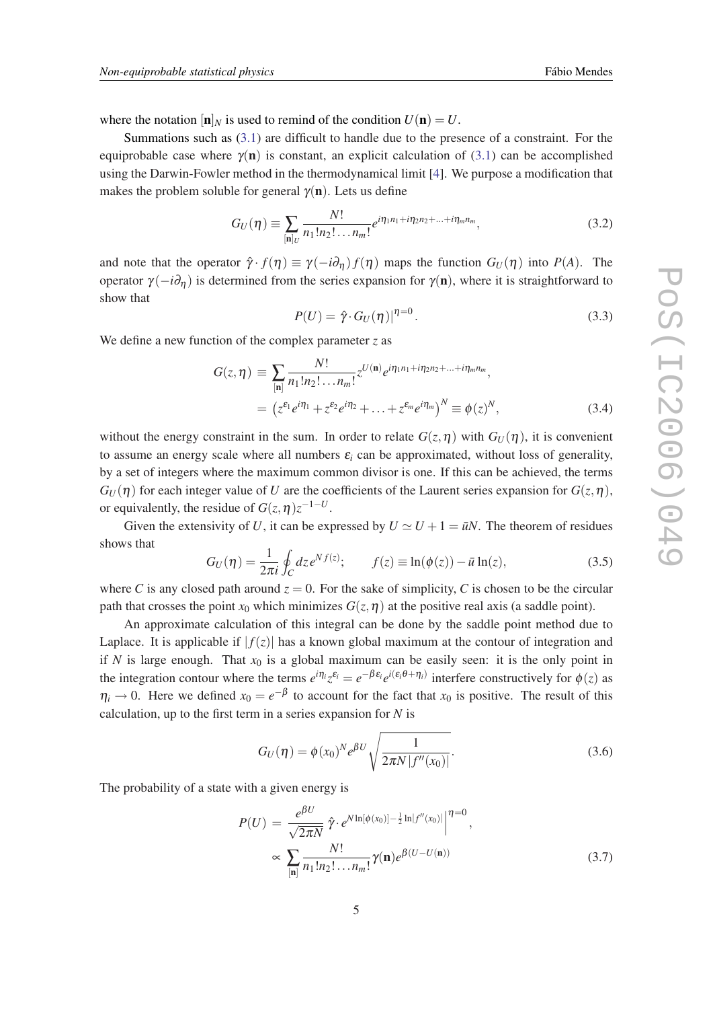<span id="page-4-0"></span>where the notation  $[n]_N$  is used to remind of the condition  $U(n) = U$ .

Summations such as ([3.1\)](#page-3-0) are difficult to handle due to the presence of a constraint. For the equiprobable case where  $\gamma(n)$  is constant, an explicit calculation of ([3.1\)](#page-3-0) can be accomplished using the Darwin-Fowler method in the thermodynamical limit [[4](#page-9-0)]. We purpose a modification that makes the problem soluble for general  $\gamma(n)$ . Lets us define

$$
G_U(\eta) \equiv \sum_{\left[\mathbf{n}\right]_U} \frac{N!}{n_1! n_2! \dots n_m!} e^{i\eta_1 n_1 + i\eta_2 n_2 + \dots + i\eta_m n_m},\tag{3.2}
$$

and note that the operator  $\hat{\gamma} \cdot f(\eta) \equiv \gamma(-i\partial_{\eta}) f(\eta)$  maps the function  $G_U(\eta)$  into  $P(A)$ . The operator  $\gamma(-i\partial_\eta)$  is determined from the series expansion for  $\gamma(\mathbf{n})$ , where it is straightforward to show that

$$
P(U) = \hat{\gamma} \cdot G_U(\eta)|^{\eta=0}.
$$
\n(3.3)

We define a new function of the complex parameter *z* as

$$
G(z,\eta) \equiv \sum_{[n]} \frac{N!}{n_1! n_2! \dots n_m!} z^{U(n)} e^{i\eta_1 n_1 + i\eta_2 n_2 + \dots + i\eta_m n_m},
$$
  
=  $(z^{\varepsilon_1} e^{i\eta_1} + z^{\varepsilon_2} e^{i\eta_2} + \dots + z^{\varepsilon_m} e^{i\eta_m})^N \equiv \phi(z)^N,$  (3.4)

without the energy constraint in the sum. In order to relate  $G(z, \eta)$  with  $G_U(\eta)$ , it is convenient to assume an energy scale where all numbers  $\varepsilon_i$  can be approximated, without loss of generality, by a set of integers where the maximum common divisor is one. If this can be achieved, the terms  $G_U(\eta)$  for each integer value of *U* are the coefficients of the Laurent series expansion for  $G(z, \eta)$ , or equivalently, the residue of  $G(z, \eta)z^{-1-U}$ .

Given the extensivity of *U*, it can be expressed by  $U \simeq U + 1 = \bar{u}N$ . The theorem of residues shows that

$$
G_U(\eta) = \frac{1}{2\pi i} \oint_C dz e^{Nf(z)}; \qquad f(z) \equiv \ln(\phi(z)) - \bar{u} \ln(z), \qquad (3.5)
$$

where *C* is any closed path around  $z = 0$ . For the sake of simplicity, *C* is chosen to be the circular path that crosses the point  $x_0$  which minimizes  $G(z, \eta)$  at the positive real axis (a saddle point).

An approximate calculation of this integral can be done by the saddle point method due to Laplace. It is applicable if  $|f(z)|$  has a known global maximum at the contour of integration and if N is large enough. That  $x_0$  is a global maximum can be easily seen: it is the only point in the integration contour where the terms  $e^{i\eta_i}z^{\varepsilon_i} = e^{-\beta \varepsilon_i}e^{i(\varepsilon_i \theta + \eta_i)}$  interfere constructively for  $\phi(z)$  as  $\eta_i \to 0$ . Here we defined  $x_0 = e^{-\beta}$  to account for the fact that  $x_0$  is positive. The result of this calculation, up to the first term in a series expansion for *N* is

$$
G_U(\eta) = \phi(x_0)^N e^{\beta U} \sqrt{\frac{1}{2\pi N |f''(x_0)|}}.
$$
\n(3.6)

The probability of a state with a given energy is

$$
P(U) = \frac{e^{\beta U}}{\sqrt{2\pi N}} \hat{\gamma} \cdot e^{N \ln[\phi(x_0)] - \frac{1}{2} \ln|f''(x_0)|} \Big|_{1}^{1} = 0,
$$
  

$$
\propto \sum_{\text{[n]}} \frac{N!}{n_1! n_2! \dots n_m!} \gamma(\mathbf{n}) e^{\beta(U - U(\mathbf{n}))}
$$
(3.7)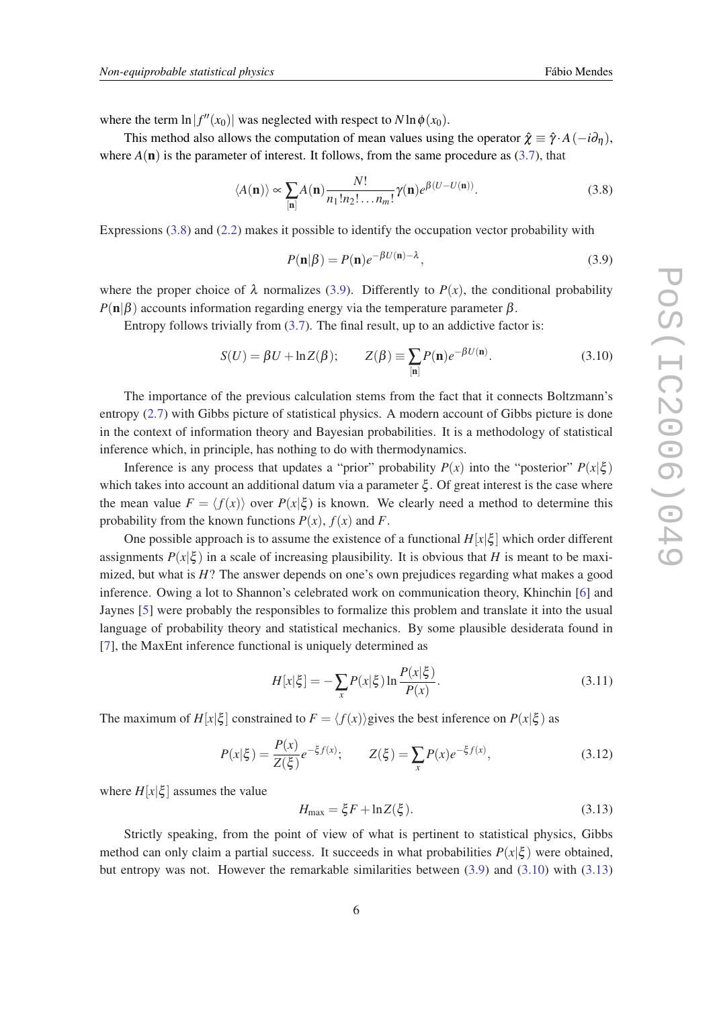<span id="page-5-0"></span>where the term  $\ln|f''(x_0)|$  was neglected with respect to  $N \ln \phi(x_0)$ .

This method also allows the computation of mean values using the operator  $\hat{\chi} \equiv \hat{\gamma} \cdot A(-i\partial_n)$ , where  $A(\mathbf{n})$  is the parameter of interest. It follows, from the same procedure as [\(3.7\)](#page-4-0), that

$$
\langle A(\mathbf{n}) \rangle \propto \sum_{[\mathbf{n}]} A(\mathbf{n}) \frac{N!}{n_1! n_2! \dots n_m!} \gamma(\mathbf{n}) e^{\beta(U - U(\mathbf{n}))}.
$$
 (3.8)

Expressions (3.8) and ([2.2](#page-2-0)) makes it possible to identify the occupation vector probability with

$$
P(\mathbf{n}|\beta) = P(\mathbf{n})e^{-\beta U(\mathbf{n}) - \lambda},\tag{3.9}
$$

where the proper choice of  $\lambda$  normalizes (3.9). Differently to  $P(x)$ , the conditional probability  $P(n|\beta)$  accounts information regarding energy via the temperature parameter  $\beta$ .

Entropy follows trivially from  $(3.7)$ . The final result, up to an addictive factor is:

$$
S(U) = \beta U + \ln Z(\beta); \qquad Z(\beta) \equiv \sum_{[\mathbf{n}]} P(\mathbf{n}) e^{-\beta U(\mathbf{n})}.
$$
 (3.10)

The importance of the previous calculation stems from the fact that it connects Boltzmann's entropy [\(2.7\)](#page-3-0) with Gibbs picture of statistical physics. A modern account of Gibbs picture is done in the context of information theory and Bayesian probabilities. It is a methodology of statistical inference which, in principle, has nothing to do with thermodynamics.

Inference is any process that updates a "prior" probability  $P(x)$  into the "posterior"  $P(x|\xi)$ which takes into account an additional datum via a parameter  $\xi$ . Of great interest is the case where the mean value  $F = \langle f(x) \rangle$  over  $P(x|\xi)$  is known. We clearly need a method to determine this probability from the known functions  $P(x)$ ,  $f(x)$  and  $F$ .

One possible approach is to assume the existence of a functional  $H[x|\xi]$  which order different assignments  $P(x|\xi)$  in a scale of increasing plausibility. It is obvious that *H* is meant to be maximized, but what is *H*? The answer depends on one's own prejudices regarding what makes a good inference. Owing a lot to Shannon's celebrated work on communication theory, Khinchin [\[6\]](#page-9-0) and Jaynes [\[5\]](#page-9-0) were probably the responsibles to formalize this problem and translate it into the usual language of probability theory and statistical mechanics. By some plausible desiderata found in [[7](#page-9-0)], the MaxEnt inference functional is uniquely determined as

$$
H[x|\xi] = -\sum_{x} P(x|\xi) \ln \frac{P(x|\xi)}{P(x)}.
$$
 (3.11)

The maximum of  $H[x|\xi]$  constrained to  $F = \langle f(x) \rangle$  gives the best inference on  $P(x|\xi)$  as

$$
P(x|\xi) = \frac{P(x)}{Z(\xi)}e^{-\xi f(x)}; \qquad Z(\xi) = \sum_{x} P(x)e^{-\xi f(x)}, \tag{3.12}
$$

where  $H[x|\xi]$  assumes the value

$$
H_{\text{max}} = \xi F + \ln Z(\xi). \tag{3.13}
$$

Strictly speaking, from the point of view of what is pertinent to statistical physics, Gibbs method can only claim a partial success. It succeeds in what probabilities  $P(x|\xi)$  were obtained, but entropy was not. However the remarkable similarities between (3.9) and (3.10) with (3.13)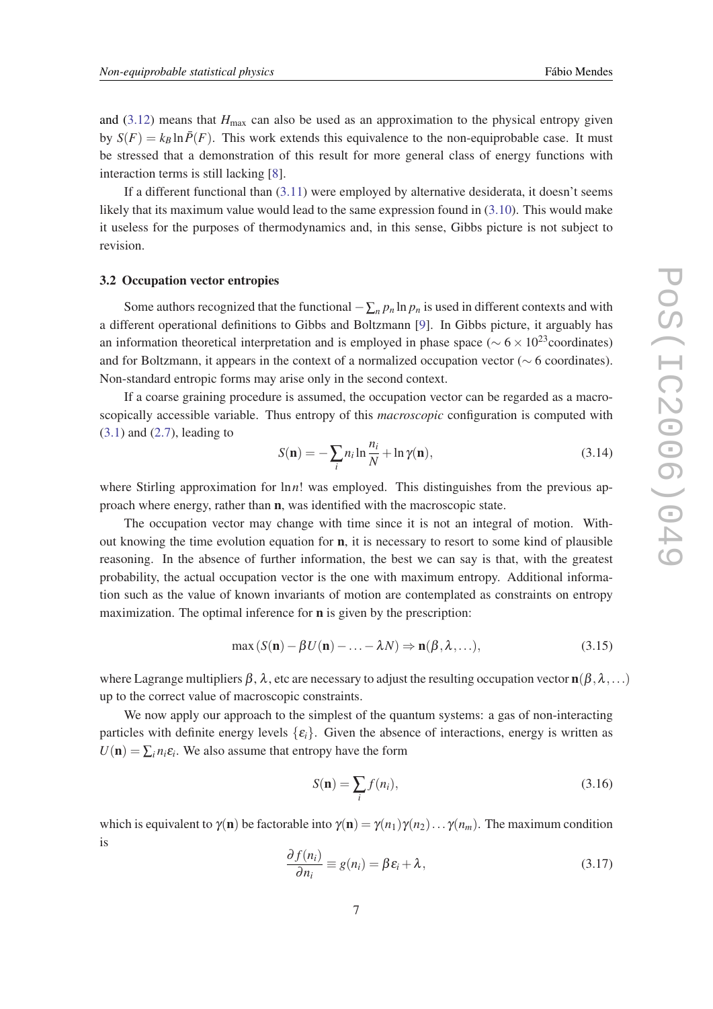<span id="page-6-0"></span>and  $(3.12)$  means that  $H_{\text{max}}$  can also be used as an approximation to the physical entropy given by  $S(F) = k_B \ln \bar{P}(F)$ . This work extends this equivalence to the non-equiprobable case. It must be stressed that a demonstration of this result for more general class of energy functions with interaction terms is still lacking [\[8\]](#page-9-0).

If a different functional than [\(3.11](#page-5-0)) were employed by alternative desiderata, it doesn't seems likely that its maximum value would lead to the same expression found in [\(3.10](#page-5-0)). This would make it useless for the purposes of thermodynamics and, in this sense, Gibbs picture is not subject to revision.

#### 3.2 Occupation vector entropies

Some authors recognized that the functional  $-\sum_{n} p_n \ln p_n$  is used in different contexts and with a different operational definitions to Gibbs and Boltzmann [\[9\]](#page-9-0). In Gibbs picture, it arguably has an information theoretical interpretation and is employed in phase space ( $\sim 6 \times 10^{23}$ coordinates) and for Boltzmann, it appears in the context of a normalized occupation vector (∼ 6 coordinates). Non-standard entropic forms may arise only in the second context.

If a coarse graining procedure is assumed, the occupation vector can be regarded as a macroscopically accessible variable. Thus entropy of this *macroscopic* configuration is computed with  $(3.1)$  $(3.1)$  and  $(2.7)$ , leading to

$$
S(\mathbf{n}) = -\sum_{i} n_i \ln \frac{n_i}{N} + \ln \gamma(\mathbf{n}),\tag{3.14}
$$

where Stirling approximation for ln*n*! was employed. This distinguishes from the previous approach where energy, rather than n, was identified with the macroscopic state.

The occupation vector may change with time since it is not an integral of motion. Without knowing the time evolution equation for  $n$ , it is necessary to resort to some kind of plausible reasoning. In the absence of further information, the best we can say is that, with the greatest probability, the actual occupation vector is the one with maximum entropy. Additional information such as the value of known invariants of motion are contemplated as constraints on entropy maximization. The optimal inference for n is given by the prescription:

$$
\max (S(\mathbf{n}) - \beta U(\mathbf{n}) - \dots - \lambda N) \Rightarrow \mathbf{n}(\beta, \lambda, \dots),
$$
\n(3.15)

where Lagrange multipliers  $\beta$ ,  $\lambda$ , etc are necessary to adjust the resulting occupation vector  $n(\beta, \lambda, \ldots)$ up to the correct value of macroscopic constraints.

We now apply our approach to the simplest of the quantum systems: a gas of non-interacting particles with definite energy levels  $\{\varepsilon_i\}$ . Given the absence of interactions, energy is written as  $U(\mathbf{n}) = \sum_i n_i \varepsilon_i$ . We also assume that entropy have the form

$$
S(\mathbf{n}) = \sum_{i} f(n_i),
$$
\n(3.16)

which is equivalent to  $\gamma(\mathbf{n})$  be factorable into  $\gamma(\mathbf{n}) = \gamma(n_1)\gamma(n_2)\dots\gamma(n_m)$ . The maximum condition is

$$
\frac{\partial f(n_i)}{\partial n_i} \equiv g(n_i) = \beta \varepsilon_i + \lambda, \qquad (3.17)
$$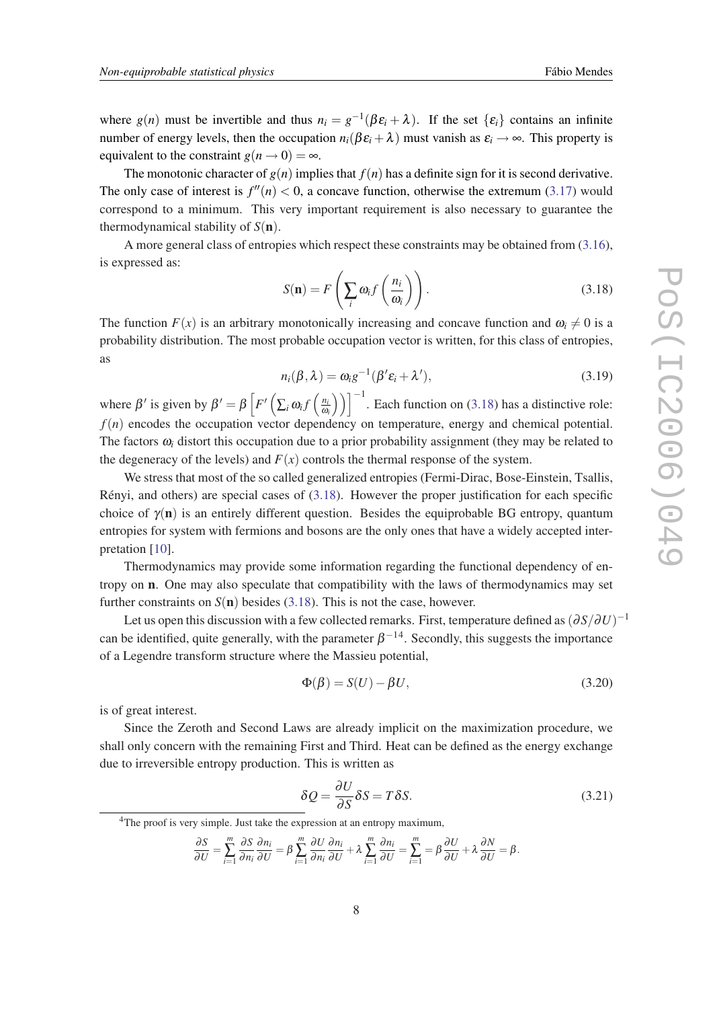<span id="page-7-0"></span>where  $g(n)$  must be invertible and thus  $n_i = g^{-1}(\beta \varepsilon_i + \lambda)$ . If the set  $\{\varepsilon_i\}$  contains an infinite number of energy levels, then the occupation  $n_i(\beta \varepsilon_i + \lambda)$  must vanish as  $\varepsilon_i \to \infty$ . This property is equivalent to the constraint  $g(n \rightarrow 0) = \infty$ .

The monotonic character of  $g(n)$  implies that  $f(n)$  has a definite sign for it is second derivative. The only case of interest is  $f''(n) < 0$ , a concave function, otherwise the extremum ([3.17\)](#page-6-0) would correspond to a minimum. This very important requirement is also necessary to guarantee the thermodynamical stability of  $S(n)$ .

A more general class of entropies which respect these constraints may be obtained from [\(3.16\)](#page-6-0), is expressed as:

$$
S(\mathbf{n}) = F\left(\sum_{i} \omega_{i} f\left(\frac{n_{i}}{\omega_{i}}\right)\right).
$$
 (3.18)

The function  $F(x)$  is an arbitrary monotonically increasing and concave function and  $\omega_i \neq 0$  is a probability distribution. The most probable occupation vector is written, for this class of entropies, as

$$
n_i(\beta,\lambda) = \omega_i g^{-1}(\beta' \varepsilon_i + \lambda'), \qquad (3.19)
$$

where  $\beta'$  is given by  $\beta' = \beta \left[ F' \left( \sum_i \omega_i f \left( \frac{n}{\omega} \right) \right) \right]$ ω*i* ))<sup> $^{-1}$ </sup>. Each function on (3.18) has a distinctive role:  $f(n)$  encodes the occupation vector dependency on temperature, energy and chemical potential. The factors  $\omega_i$  distort this occupation due to a prior probability assignment (they may be related to the degeneracy of the levels) and  $F(x)$  controls the thermal response of the system.

We stress that most of the so called generalized entropies (Fermi-Dirac, Bose-Einstein, Tsallis, Rényi, and others) are special cases of (3.18). However the proper justification for each specific choice of  $\gamma(n)$  is an entirely different question. Besides the equiprobable BG entropy, quantum entropies for system with fermions and bosons are the only ones that have a widely accepted interpretation [\[10](#page-9-0)].

Thermodynamics may provide some information regarding the functional dependency of entropy on n. One may also speculate that compatibility with the laws of thermodynamics may set further constraints on  $S(n)$  besides (3.18). This is not the case, however.

Let us open this discussion with a few collected remarks. First, temperature defined as  $(\partial S/\partial U)^{-1}$ can be identified, quite generally, with the parameter  $\beta$ <sup>-14</sup>. Secondly, this suggests the importance of a Legendre transform structure where the Massieu potential,

$$
\Phi(\beta) = S(U) - \beta U,\tag{3.20}
$$

is of great interest.

Since the Zeroth and Second Laws are already implicit on the maximization procedure, we shall only concern with the remaining First and Third. Heat can be defined as the energy exchange due to irreversible entropy production. This is written as

$$
\delta Q = \frac{\partial U}{\partial S} \delta S = T \delta S. \tag{3.21}
$$

<sup>4</sup>The proof is very simple. Just take the expression at an entropy maximum,

$$
\frac{\partial S}{\partial U} = \sum_{i=1}^{m} \frac{\partial S}{\partial n_i} \frac{\partial n_i}{\partial U} = \beta \sum_{i=1}^{m} \frac{\partial U}{\partial n_i} \frac{\partial n_i}{\partial U} + \lambda \sum_{i=1}^{m} \frac{\partial n_i}{\partial U} = \sum_{i=1}^{m} \frac{\partial U}{\partial U} + \lambda \frac{\partial N}{\partial U} = \beta.
$$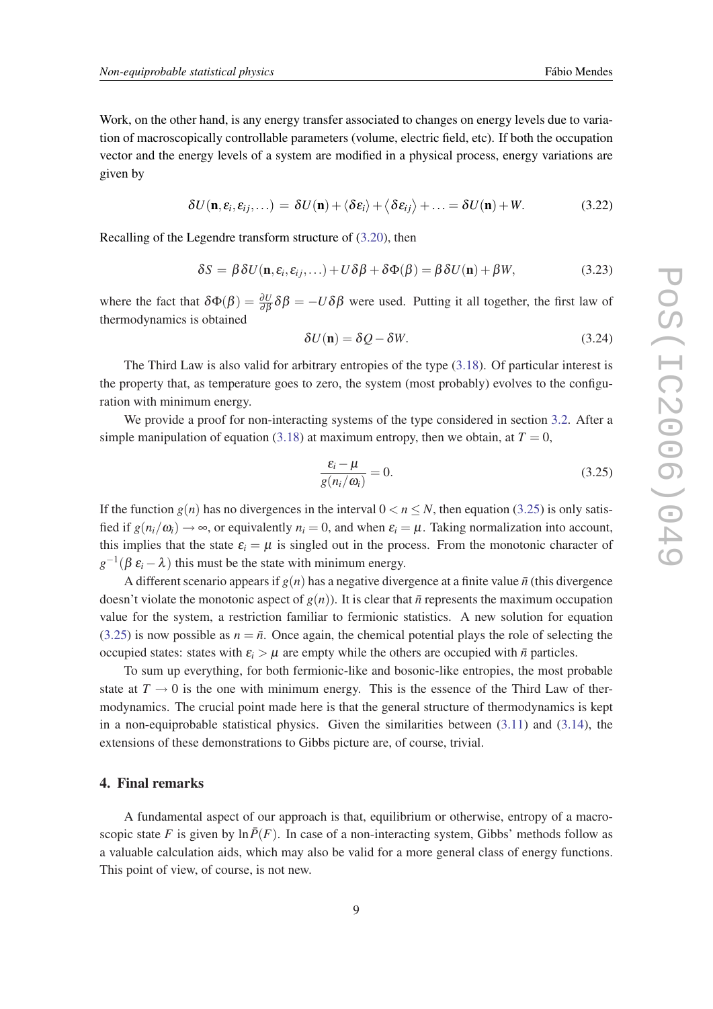Work, on the other hand, is any energy transfer associated to changes on energy levels due to variation of macroscopically controllable parameters (volume, electric field, etc). If both the occupation vector and the energy levels of a system are modified in a physical process, energy variations are given by

$$
\delta U(\mathbf{n}, \varepsilon_i, \varepsilon_{ij}, \dots) = \delta U(\mathbf{n}) + \langle \delta \varepsilon_i \rangle + \langle \delta \varepsilon_{ij} \rangle + \dots = \delta U(\mathbf{n}) + W. \tag{3.22}
$$

Recalling of the Legendre transform structure of ([3.20](#page-7-0)), then

$$
\delta S = \beta \delta U(\mathbf{n}, \varepsilon_i, \varepsilon_{ij}, \ldots) + U \delta \beta + \delta \Phi(\beta) = \beta \delta U(\mathbf{n}) + \beta W, \tag{3.23}
$$

where the fact that  $\delta\Phi(\beta) = \frac{\partial U}{\partial \beta} \delta\beta = -U\delta\beta$  were used. Putting it all together, the first law of thermodynamics is obtained

$$
\delta U(\mathbf{n}) = \delta Q - \delta W. \tag{3.24}
$$

The Third Law is also valid for arbitrary entropies of the type ([3.18](#page-7-0)). Of particular interest is the property that, as temperature goes to zero, the system (most probably) evolves to the configuration with minimum energy.

We provide a proof for non-interacting systems of the type considered in section [3.2](#page-6-0). After a simple manipulation of equation [\(3.18](#page-7-0)) at maximum entropy, then we obtain, at  $T = 0$ ,

$$
\frac{\varepsilon_i - \mu}{g(n_i/\omega_i)} = 0.
$$
\n(3.25)

If the function  $g(n)$  has no divergences in the interval  $0 < n \le N$ , then equation (3.25) is only satisfied if  $g(n_i/\omega_i) \rightarrow \infty$ , or equivalently  $n_i = 0$ , and when  $\varepsilon_i = \mu$ . Taking normalization into account, this implies that the state  $\varepsilon_i = \mu$  is singled out in the process. From the monotonic character of  $g^{-1}(\beta \varepsilon_i - \lambda)$  this must be the state with minimum energy.

A different scenario appears if  $g(n)$  has a negative divergence at a finite value  $\bar{n}$  (this divergence doesn't violate the monotonic aspect of  $g(n)$ ). It is clear that  $\bar{n}$  represents the maximum occupation value for the system, a restriction familiar to fermionic statistics. A new solution for equation (3.25) is now possible as  $n = \bar{n}$ . Once again, the chemical potential plays the role of selecting the occupied states: states with  $\varepsilon_i > \mu$  are empty while the others are occupied with  $\bar{n}$  particles.

To sum up everything, for both fermionic-like and bosonic-like entropies, the most probable state at  $T \to 0$  is the one with minimum energy. This is the essence of the Third Law of thermodynamics. The crucial point made here is that the general structure of thermodynamics is kept in a non-equiprobable statistical physics. Given the similarities between  $(3.11)$  and  $(3.14)$  $(3.14)$ , the extensions of these demonstrations to Gibbs picture are, of course, trivial.

## 4. Final remarks

A fundamental aspect of our approach is that, equilibrium or otherwise, entropy of a macroscopic state *F* is given by  $\ln \overline{P}(F)$ . In case of a non-interacting system, Gibbs' methods follow as a valuable calculation aids, which may also be valid for a more general class of energy functions. This point of view, of course, is not new.